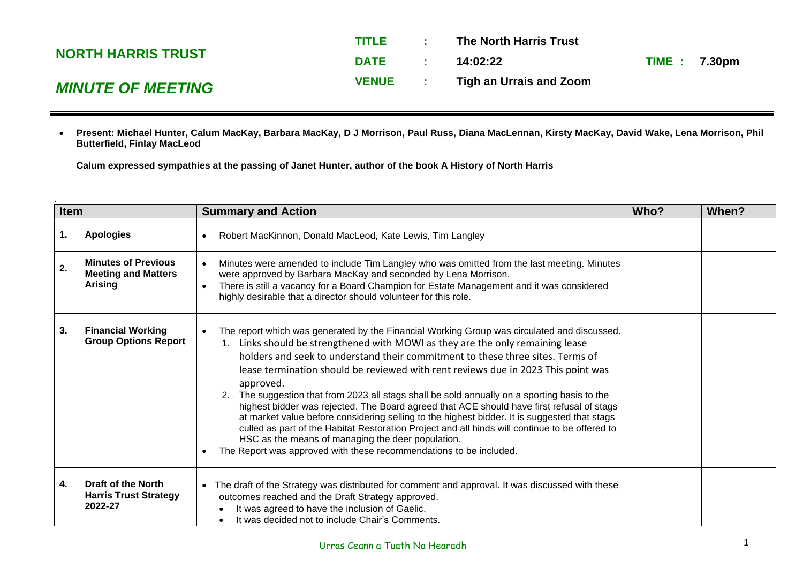|                           | <b>TITLE</b> | The North Harris Trust  |                     |
|---------------------------|--------------|-------------------------|---------------------|
| <b>NORTH HARRIS TRUST</b> | <b>DATE</b>  | 14:02:22                | <b>TIME: 7.30pm</b> |
| <b>MINUTE OF MEETING</b>  | <b>VENUE</b> | Tigh an Urrais and Zoom |                     |

• **Present: Michael Hunter, Calum MacKay, Barbara MacKay, D J Morrison, Paul Russ, Diana MacLennan, Kirsty MacKay, David Wake, Lena Morrison, Phil Butterfield, Finlay MacLeod**

**Calum expressed sympathies at the passing of Janet Hunter, author of the book A History of North Harris**

| <b>Item</b><br><b>Summary and Action</b> |                                                                            | Who?                                                                                                                                                                                                                                                                                                                                                                                                                                                                                                                                                                                                                                                                                                                                                                                                                                                                                                     | <b>When?</b> |  |
|------------------------------------------|----------------------------------------------------------------------------|----------------------------------------------------------------------------------------------------------------------------------------------------------------------------------------------------------------------------------------------------------------------------------------------------------------------------------------------------------------------------------------------------------------------------------------------------------------------------------------------------------------------------------------------------------------------------------------------------------------------------------------------------------------------------------------------------------------------------------------------------------------------------------------------------------------------------------------------------------------------------------------------------------|--------------|--|
| 1.                                       | <b>Apologies</b>                                                           | Robert MacKinnon, Donald MacLeod, Kate Lewis, Tim Langley                                                                                                                                                                                                                                                                                                                                                                                                                                                                                                                                                                                                                                                                                                                                                                                                                                                |              |  |
| 2.                                       | <b>Minutes of Previous</b><br><b>Meeting and Matters</b><br><b>Arising</b> | Minutes were amended to include Tim Langley who was omitted from the last meeting. Minutes<br>were approved by Barbara MacKay and seconded by Lena Morrison.<br>There is still a vacancy for a Board Champion for Estate Management and it was considered<br>highly desirable that a director should volunteer for this role.                                                                                                                                                                                                                                                                                                                                                                                                                                                                                                                                                                            |              |  |
| 3.                                       | <b>Financial Working</b><br><b>Group Options Report</b>                    | The report which was generated by the Financial Working Group was circulated and discussed.<br>$\bullet$<br>1. Links should be strengthened with MOWI as they are the only remaining lease<br>holders and seek to understand their commitment to these three sites. Terms of<br>lease termination should be reviewed with rent reviews due in 2023 This point was<br>approved.<br>2. The suggestion that from 2023 all stags shall be sold annually on a sporting basis to the<br>highest bidder was rejected. The Board agreed that ACE should have first refusal of stags<br>at market value before considering selling to the highest bidder. It is suggested that stags<br>culled as part of the Habitat Restoration Project and all hinds will continue to be offered to<br>HSC as the means of managing the deer population.<br>The Report was approved with these recommendations to be included. |              |  |
| 4.                                       | <b>Draft of the North</b><br><b>Harris Trust Strategy</b><br>2022-27       | The draft of the Strategy was distributed for comment and approval. It was discussed with these<br>outcomes reached and the Draft Strategy approved.<br>It was agreed to have the inclusion of Gaelic.<br>It was decided not to include Chair's Comments.                                                                                                                                                                                                                                                                                                                                                                                                                                                                                                                                                                                                                                                |              |  |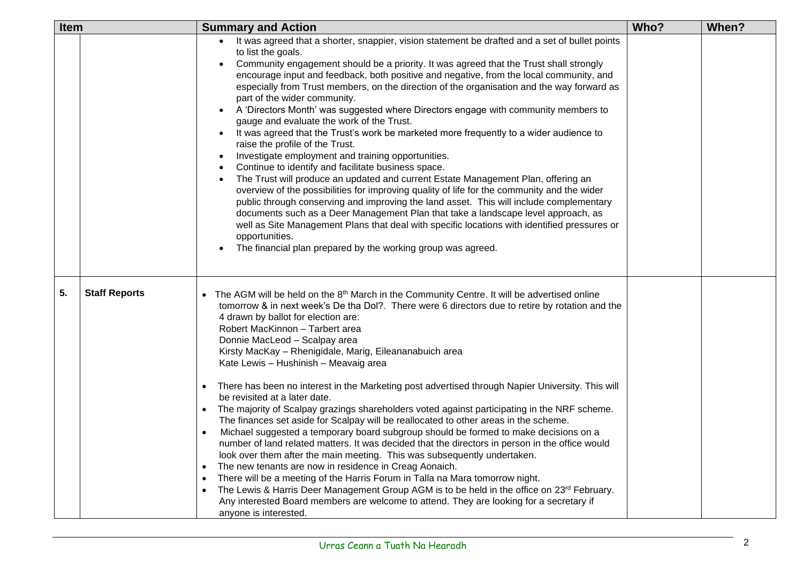| Item |                      | <b>Summary and Action</b>                                                                                                                                                                                                                                                                                                                                                                                                                                                                                                                                                                                                                                                                                                                                                                                                                                                                                                                                                                                                                                                                                                                                                                                                                                                                                                                                                                                                                                                 |      | When? |
|------|----------------------|---------------------------------------------------------------------------------------------------------------------------------------------------------------------------------------------------------------------------------------------------------------------------------------------------------------------------------------------------------------------------------------------------------------------------------------------------------------------------------------------------------------------------------------------------------------------------------------------------------------------------------------------------------------------------------------------------------------------------------------------------------------------------------------------------------------------------------------------------------------------------------------------------------------------------------------------------------------------------------------------------------------------------------------------------------------------------------------------------------------------------------------------------------------------------------------------------------------------------------------------------------------------------------------------------------------------------------------------------------------------------------------------------------------------------------------------------------------------------|------|-------|
|      |                      | • It was agreed that a shorter, snappier, vision statement be drafted and a set of bullet points<br>to list the goals.<br>Community engagement should be a priority. It was agreed that the Trust shall strongly<br>encourage input and feedback, both positive and negative, from the local community, and<br>especially from Trust members, on the direction of the organisation and the way forward as<br>part of the wider community.<br>A 'Directors Month' was suggested where Directors engage with community members to<br>gauge and evaluate the work of the Trust.<br>It was agreed that the Trust's work be marketed more frequently to a wider audience to<br>raise the profile of the Trust.<br>Investigate employment and training opportunities.<br>Continue to identify and facilitate business space.<br>The Trust will produce an updated and current Estate Management Plan, offering an<br>overview of the possibilities for improving quality of life for the community and the wider<br>public through conserving and improving the land asset. This will include complementary<br>documents such as a Deer Management Plan that take a landscape level approach, as<br>well as Site Management Plans that deal with specific locations with identified pressures or<br>opportunities.<br>The financial plan prepared by the working group was agreed.                                                                                              | Who? |       |
| 5.   | <b>Staff Reports</b> | • The AGM will be held on the 8 <sup>th</sup> March in the Community Centre. It will be advertised online<br>tomorrow & in next week's De tha Dol?. There were 6 directors due to retire by rotation and the<br>4 drawn by ballot for election are:<br>Robert MacKinnon - Tarbert area<br>Donnie MacLeod - Scalpay area<br>Kirsty MacKay - Rhenigidale, Marig, Eileananabuich area<br>Kate Lewis - Hushinish - Meavaig area<br>There has been no interest in the Marketing post advertised through Napier University. This will<br>$\bullet$<br>be revisited at a later date.<br>The majority of Scalpay grazings shareholders voted against participating in the NRF scheme.<br>$\bullet$<br>The finances set aside for Scalpay will be reallocated to other areas in the scheme.<br>Michael suggested a temporary board subgroup should be formed to make decisions on a<br>$\bullet$<br>number of land related matters. It was decided that the directors in person in the office would<br>look over them after the main meeting. This was subsequently undertaken.<br>The new tenants are now in residence in Creag Aonaich.<br>$\bullet$<br>There will be a meeting of the Harris Forum in Talla na Mara tomorrow night.<br>$\bullet$<br>The Lewis & Harris Deer Management Group AGM is to be held in the office on 23rd February.<br>$\bullet$<br>Any interested Board members are welcome to attend. They are looking for a secretary if<br>anyone is interested. |      |       |